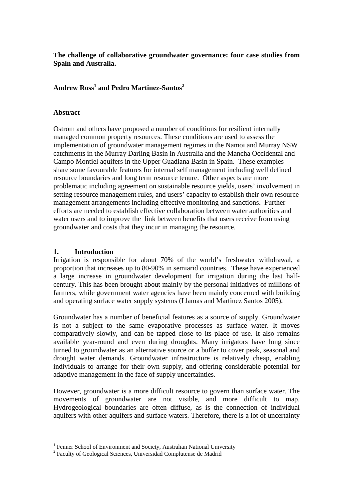**The challenge of collaborative groundwater governance: four case studies from Spain and Australia.** 

# **Andrew Ross<sup>1</sup> and Pedro Martinez-Santos<sup>2</sup>**

#### **Abstract**

Ostrom and others have proposed a number of conditions for resilient internally managed common property resources. These conditions are used to assess the implementation of groundwater management regimes in the Namoi and Murray NSW catchments in the Murray Darling Basin in Australia and the Mancha Occidental and Campo Montiel aquifers in the Upper Guadiana Basin in Spain. These examples share some favourable features for internal self management including well defined resource boundaries and long term resource tenure. Other aspects are more problematic including agreement on sustainable resource yields, users' involvement in setting resource management rules, and users' capacity to establish their own resource management arrangements including effective monitoring and sanctions. Further efforts are needed to establish effective collaboration between water authorities and water users and to improve the link between benefits that users receive from using groundwater and costs that they incur in managing the resource.

### **1. Introduction**

Irrigation is responsible for about 70% of the world's freshwater withdrawal, a proportion that increases up to 80-90% in semiarid countries. These have experienced a large increase in groundwater development for irrigation during the last halfcentury. This has been brought about mainly by the personal initiatives of millions of farmers, while government water agencies have been mainly concerned with building and operating surface water supply systems (Llamas and Martinez Santos 2005).

Groundwater has a number of beneficial features as a source of supply. Groundwater is not a subject to the same evaporative processes as surface water. It moves comparatively slowly, and can be tapped close to its place of use. It also remains available year-round and even during droughts. Many irrigators have long since turned to groundwater as an alternative source or a buffer to cover peak, seasonal and drought water demands. Groundwater infrastructure is relatively cheap, enabling individuals to arrange for their own supply, and offering considerable potential for adaptive management in the face of supply uncertainties.

However, groundwater is a more difficult resource to govern than surface water. The movements of groundwater are not visible, and more difficult to map. Hydrogeological boundaries are often diffuse, as is the connection of individual aquifers with other aquifers and surface waters. Therefore, there is a lot of uncertainty

 1 Fenner School of Environment and Society, Australian National University

<sup>&</sup>lt;sup>2</sup> Faculty of Geological Sciences, Universidad Complutense de Madrid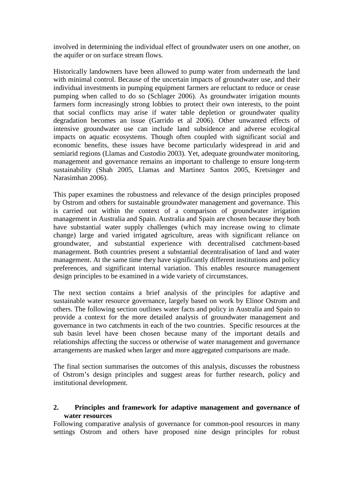involved in determining the individual effect of groundwater users on one another, on the aquifer or on surface stream flows.

Historically landowners have been allowed to pump water from underneath the land with minimal control. Because of the uncertain impacts of groundwater use, and their individual investments in pumping equipment farmers are reluctant to reduce or cease pumping when called to do so (Schlager 2006). As groundwater irrigation mounts farmers form increasingly strong lobbies to protect their own interests, to the point that social conflicts may arise if water table depletion or groundwater quality degradation becomes an issue (Garrido et al 2006). Other unwanted effects of intensive groundwater use can include land subsidence and adverse ecological impacts on aquatic ecosystems. Though often coupled with significant social and economic benefits, these issues have become particularly widespread in arid and semiarid regions (Llamas and Custodio 2003). Yet, adequate groundwater monitoring, management and governance remains an important to challenge to ensure long-term sustainability (Shah 2005, Llamas and Martinez Santos 2005, Kretsinger and Narasimhan 2006).

This paper examines the robustness and relevance of the design principles proposed by Ostrom and others for sustainable groundwater management and governance. This is carried out within the context of a comparison of groundwater irrigation management in Australia and Spain. Australia and Spain are chosen because they both have substantial water supply challenges (which may increase owing to climate change) large and varied irrigated agriculture, areas with significant reliance on groundwater, and substantial experience with decentralised catchment-based management. Both countries present a substantial decentralisation of land and water management. At the same time they have significantly different institutions and policy preferences, and significant internal variation. This enables resource management design principles to be examined in a wide variety of circumstances.

The next section contains a brief analysis of the principles for adaptive and sustainable water resource governance, largely based on work by Elinor Ostrom and others. The following section outlines water facts and policy in Australia and Spain to provide a context for the more detailed analysis of groundwater management and governance in two catchments in each of the two countries. Specific resources at the sub basin level have been chosen because many of the important details and relationships affecting the success or otherwise of water management and governance arrangements are masked when larger and more aggregated comparisons are made.

The final section summarises the outcomes of this analysis, discusses the robustness of Ostrom's design principles and suggest areas for further research, policy and institutional development.

#### **2. Principles and framework for adaptive management and governance of water resources**

Following comparative analysis of governance for common-pool resources in many settings Ostrom and others have proposed nine design principles for robust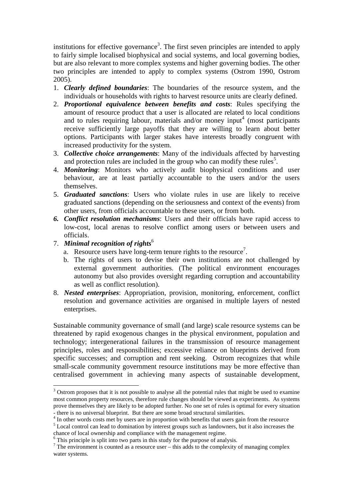institutions for effective governance<sup>3</sup>. The first seven principles are intended to apply to fairly simple localised biophysical and social systems, and local governing bodies, but are also relevant to more complex systems and higher governing bodies. The other two principles are intended to apply to complex systems (Ostrom 1990, Ostrom 2005).

- 1. *Clearly defined boundaries*: The boundaries of the resource system, and the individuals or households with rights to harvest resource units are clearly defined.
- 2. *Proportional equivalence between benefits and costs*: Rules specifying the amount of resource product that a user is allocated are related to local conditions and to rules requiring labour, materials and/or money input<sup>4</sup> (most participants receive sufficiently large payoffs that they are willing to learn about better options. Participants with larger stakes have interests broadly congruent with increased productivity for the system.
- 3. *Collective choice arrangements*: Many of the individuals affected by harvesting and protection rules are included in the group who can modify these rules<sup>5</sup>.
- 4. *Monitoring*: Monitors who actively audit biophysical conditions and user behaviour, are at least partially accountable to the users and/or the users themselves.
- 5. *Graduated sanctions*: Users who violate rules in use are likely to receive graduated sanctions (depending on the seriousness and context of the events) from other users, from officials accountable to these users, or from both.
- *6. Conflict resolution mechanisms*: Users and their officials have rapid access to low-cost, local arenas to resolve conflict among users or between users and officials.
- 7. *Minimal recognition of rights*<sup>6</sup>

 $\overline{a}$ 

- a. Resource users have long-term tenure rights to the resource<sup>7</sup>.
- b. The rights of users to devise their own institutions are not challenged by external government authorities. (The political environment encourages autonomy but also provides oversight regarding corruption and accountability as well as conflict resolution).
- 8. *Nested enterprises*: Appropriation, provision, monitoring, enforcement, conflict resolution and governance activities are organised in multiple layers of nested enterprises.

Sustainable community governance of small (and large) scale resource systems can be threatened by rapid exogenous changes in the physical environment, population and technology; intergenerational failures in the transmission of resource management principles, roles and responsibilities; excessive reliance on blueprints derived from specific successes; and corruption and rent seeking. Ostrom recognizes that while small-scale community government resource institutions may be more effective than centralised government in achieving many aspects of sustainable development,

<sup>5</sup> Local control can lead to domination by interest groups such as landowners, but it also increases the chance of local ownership and compliance with the management regime.

 $3$  Ostrom proposes that it is not possible to analyse all the potential rules that might be used to examine most common property resources, therefore rule changes should be viewed as experiments. As systems prove themselves they are likely to be adopted further. No one set of rules is optimal for every situation - there is no universal blueprint. But there are some broad structural similarities.

<sup>&</sup>lt;sup>4</sup> In other words costs met by users are in proportion with benefits that users gain from the resource

<sup>&</sup>lt;sup>6</sup> This principle is split into two parts in this study for the purpose of analysis.

 $7$  The environment is counted as a resource user – this adds to the complexity of managing complex water systems.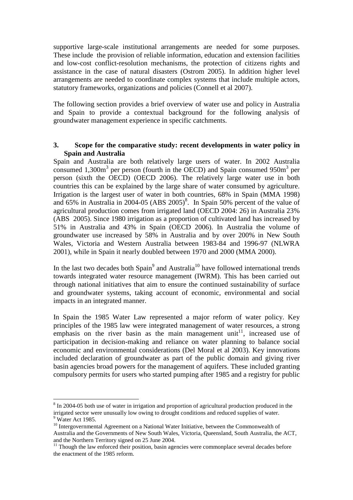supportive large-scale institutional arrangements are needed for some purposes. These include the provision of reliable information, education and extension facilities and low-cost conflict-resolution mechanisms, the protection of citizens rights and assistance in the case of natural disasters (Ostrom 2005). In addition higher level arrangements are needed to coordinate complex systems that include multiple actors, statutory frameworks, organizations and policies (Connell et al 2007).

The following section provides a brief overview of water use and policy in Australia and Spain to provide a contextual background for the following analysis of groundwater management experience in specific catchments.

#### **3. Scope for the comparative study: recent developments in water policy in Spain and Australia**

Spain and Australia are both relatively large users of water. In 2002 Australia consumed 1,300 $m<sup>3</sup>$  per person (fourth in the OECD) and Spain consumed 950 $m<sup>3</sup>$  per person (sixth the OECD) (OECD 2006). The relatively large water use in both countries this can be explained by the large share of water consumed by agriculture. Irrigation is the largest user of water in both countries, 68% in Spain (MMA 1998) and  $65\%$  in Australia in 2004-05 (ABS 2005)<sup>8</sup>. In Spain 50% percent of the value of agricultural production comes from irrigated land (OECD 2004: 26) in Australia 23% (ABS 2005). Since 1980 irrigation as a proportion of cultivated land has increased by 51% in Australia and 43% in Spain (OECD 2006). In Australia the volume of groundwater use increased by 58% in Australia and by over 200% in New South Wales, Victoria and Western Australia between 1983-84 and 1996-97 (NLWRA 2001), while in Spain it nearly doubled between 1970 and 2000 (MMA 2000).

In the last two decades both  $Spin<sup>9</sup>$  and Australia<sup>10</sup> have followed international trends towards integrated water resource management (IWRM). This has been carried out through national initiatives that aim to ensure the continued sustainability of surface and groundwater systems, taking account of economic, environmental and social impacts in an integrated manner.

In Spain the 1985 Water Law represented a major reform of water policy. Key principles of the 1985 law were integrated management of water resources, a strong emphasis on the river basin as the main management unit<sup>11</sup>, increased use of participation in decision-making and reliance on water planning to balance social economic and environmental considerations (Del Moral et al 2003). Key innovations included declaration of groundwater as part of the public domain and giving river basin agencies broad powers for the management of aquifers. These included granting compulsory permits for users who started pumping after 1985 and a registry for public

 $8 \text{ In } 2004\text{-}05$  both use of water in irrigation and proportion of agricultural production produced in the irrigated sector were unusually low owing to drought conditions and reduced supplies of water. <sup>9</sup> Water Act 1985.

<sup>&</sup>lt;sup>10</sup> Intergovernmental Agreement on a National Water Initiative, between the Commonwealth of Australia and the Governments of New South Wales, Victoria, Queensland, South Australia, the ACT, and the Northern Territory signed on 25 June 2004.

<sup>&</sup>lt;sup>11</sup> Though the law enforced their position, basin agencies were commonplace several decades before the enactment of the 1985 reform.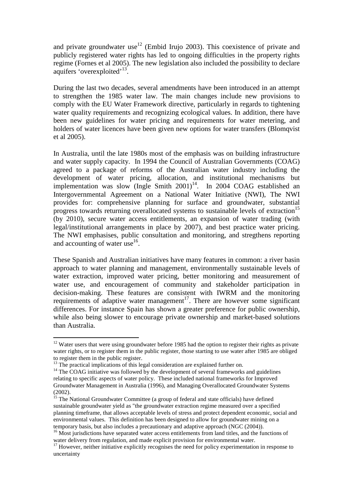and private groundwater use<sup>12</sup> (Embid Irujo 2003). This coexistence of private and publicly registered water rights has led to ongoing difficulties in the property rights regime (Fornes et al 2005). The new legislation also included the possibility to declare aquifers 'overexploited'<sup>13</sup>.

During the last two decades, several amendments have been introduced in an attempt to strengthen the 1985 water law. The main changes include new provisions to comply with the EU Water Framework directive, particularly in regards to tightening water quality requirements and recognizing ecological values. In addition, there have been new guidelines for water pricing and requirements for water metering, and holders of water licences have been given new options for water transfers (Blomqvist et al 2005).

In Australia, until the late 1980s most of the emphasis was on building infrastructure and water supply capacity. In 1994 the Council of Australian Governments (COAG) agreed to a package of reforms of the Australian water industry including the development of water pricing, allocation, and institutional mechanisms but implementation was slow (Ingle Smith  $2001$ )<sup>14</sup>. In 2004 COAG established an Intergovernmental Agreement on a National Water Initiative (NWI), The NWI provides for: comprehensive planning for surface and groundwater, substantial progress towards returning overallocated systems to sustainable levels of extraction<sup>15</sup> (by 2010), secure water access entitlements, an expansion of water trading (with legal/institutional arrangements in place by 2007), and best practice water pricing. The NWI emphasises, public consultation and monitoring, and stregthens reporting and accounting of water use<sup>16</sup>.

These Spanish and Australian initiatives have many features in common: a river basin approach to water planning and management, environmentally sustainable levels of water extraction, improved water pricing, better monitoring and measurement of water use, and encouragement of community and stakeholder participation in decision-making. These features are consistent with IWRM and the monitoring requirements of adaptive water management<sup>17</sup>. There are however some significant differences. For instance Spain has shown a greater preference for public ownership, while also being slower to encourage private ownership and market-based solutions than Australia.

 $12$  Water users that were using groundwater before 1985 had the option to register their rights as private water rights, or to register them in the public register, those starting to use water after 1985 are obliged to register them in the public register.

<sup>&</sup>lt;sup>13</sup> The practical implications of this legal consideration are explained further on.

 $14$  The COAG initiative was followed by the development of several frameworks and guidelines relating to specific aspects of water policy. These included national frameworks for Improved Groundwater Management in Australia (1996), and Managing Overallocated Groundwater Systems (2002).

<sup>&</sup>lt;sup>15</sup> The National Groundwater Committee (a group of federal and state officials) have defined sustainable groundwater yield as "the groundwater extraction regime measured over a specified planning timeframe, that allows acceptable levels of stress and protect dependent economic, social and environmental values. This definition has been designed to allow for groundwater mining on a temporary basis, but also includes a precautionary and adaptive approach (NGC (2004)).

<sup>&</sup>lt;sup>16</sup> Most jurisdictions have separated water access entitlements from land titles, and the functions of water delivery from regulation, and made explicit provision for environmental water.

<sup>&</sup>lt;sup>17</sup> However, neither initiative explicitly recognises the need for policy experimentation in response to uncertainty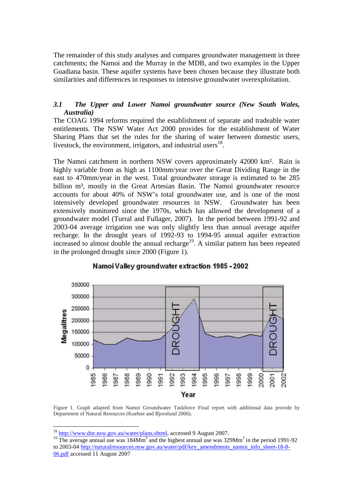The remainder of this study analyses and compares groundwater management in three catchments; the Namoi and the Murray in the MDB, and two examples in the Upper Guadiana basin. These aquifer systems have been chosen because they illustrate both similarities and differences in responses to intensive groundwater overexploitation.

### *3.1 The Upper and Lower Namoi groundwater source (New South Wales, Australia)*

The COAG 1994 reforms required the establishment of separate and tradeable water entitlements. The NSW Water Act 2000 provides for the establishment of Water Sharing Plans that set the rules for the sharing of water between domestic users, livestock, the environment, irrigators, and industrial users $^{18}$ .

The Namoi catchment in northern NSW covers approximately 42000 km². Rain is highly variable from as high as 1100mm/year over the Great Dividing Range in the east to 470mm/year in the west. Total groundwater storage is estimated to be 285 billion m<sup>3</sup>, mostly in the Great Artesian Basin. The Namoi groundwater resource accounts for about 40% of NSW's total groundwater use, and is one of the most intensively developed groundwater resources in NSW. Groundwater has been extensively monitored since the 1970s, which has allowed the development of a groundwater model (Turral and Fullager, 2007). In the period between 1991-92 and 2003-04 average irrigation use was only slightly less than annual average aquifer recharge. In the drought years of 1992-93 to 1994-95 annual aquifer extraction increased to almost double the annual recharge<sup>19</sup>. A similar pattern has been repeated in the prolonged drought since 2000 (Figure 1).



## Namoi Valley groundwater extraction 1985 - 2002

Figure 1. Graph adapted from Namoi Groundwater Taskforce Final report with additional data provide by Department of Natural Resources (Kuehne and Bjornlund 2006).

<sup>&</sup>lt;sup>18</sup> http://www.dnr.nsw.gov.au/water/plans.shtml, accessed 9 August 2007.

<sup>&</sup>lt;sup>19</sup> The average annual use was  $184Mm<sup>3</sup>$  and the highest annual use was  $329Mm<sup>3</sup>$  in the period 1991-92 to 2003-04 http://naturalresources.nsw.gov.au/water/pdf/key\_amendments\_namoi\_info\_sheet-18-8-06.pdf accessed 11 August 2007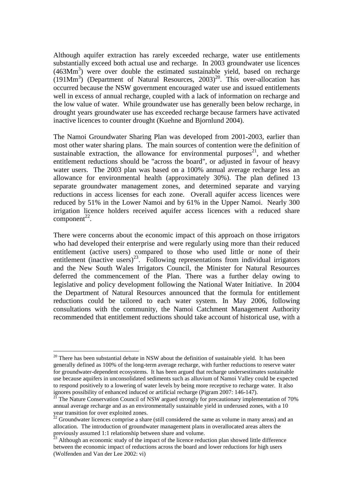Although aquifer extraction has rarely exceeded recharge, water use entitlements substantially exceed both actual use and recharge. In 2003 groundwater use licences (463Mm<sup>3</sup>) were over double the estimated sustainable yield, based on recharge  $(191Mm<sup>3</sup>)$  (Department of Natural Resources, 2003)<sup>20</sup>. This over-allocation has occurred because the NSW government encouraged water use and issued entitlements well in excess of annual recharge, coupled with a lack of information on recharge and the low value of water. While groundwater use has generally been below recharge, in drought years groundwater use has exceeded recharge because farmers have activated inactive licences to counter drought (Kuehne and Bjornlund 2004).

The Namoi Groundwater Sharing Plan was developed from 2001-2003, earlier than most other water sharing plans. The main sources of contention were the definition of sustainable extraction, the allowance for environmental purposes $21$ , and whether entitlement reductions should be "across the board", or adjusted in favour of heavy water users. The 2003 plan was based on a 100% annual average recharge less an allowance for environmental health (approximately 30%). The plan defined 13 separate groundwater management zones, and determined separate and varying reductions in access licenses for each zone. Overall aquifer access licences were reduced by 51% in the Lower Namoi and by 61% in the Upper Namoi. Nearly 300 irrigation licence holders received aquifer access licences with a reduced share  $component<sup>22</sup>$ .

There were concerns about the economic impact of this approach on those irrigators who had developed their enterprise and were regularly using more than their reduced entitlement (active users) compared to those who used little or none of their entitlement (inactive users)<sup>23</sup>. Following representations from individual irrigators and the New South Wales Irrigators Council, the Minister for Natural Resources deferred the commencement of the Plan. There was a further delay owing to legislative and policy development following the National Water Initiative. In 2004 the Department of Natural Resources announced that the formula for entitlement reductions could be tailored to each water system. In May 2006, following consultations with the community, the Namoi Catchment Management Authority recommended that entitlement reductions should take account of historical use, with a

 $20$  There has been substantial debate in NSW about the definition of sustainable yield. It has been generally defined as 100% of the long-term average recharge, with further reductions to reserve water for groundwater-dependent ecosystems. It has been argued that recharge undersestimates sustainable use because aquifers in unconsolidated sediments such as alluvium of Namoi Valley could be expected to respond positively to a lowering of water levels by being more receptive to recharge water. It also ignores possibility of enhanced induced or artificial recharge (Pigram 2007: 146-147).

The Nature Conservation Council of NSW argued strongly for precautionary implementation of 70% annual average recharge and as an environmentally sustainable yield in underused zones, with a 10 year transition for over exploited zones.

 $\frac{22}{2}$  Groundwater licences comprise a share (still considered the same as volume in many areas) and an allocation. The introduction of groundwater management plans in overallocated areas alters the previously assumed 1:1 relationship between share and volume.

 $3$  Although an economic study of the impact of the licence reduction plan showed little difference between the economic impact of reductions across the board and lower reductions for high users (Wolfenden and Van der Lee 2002: vi)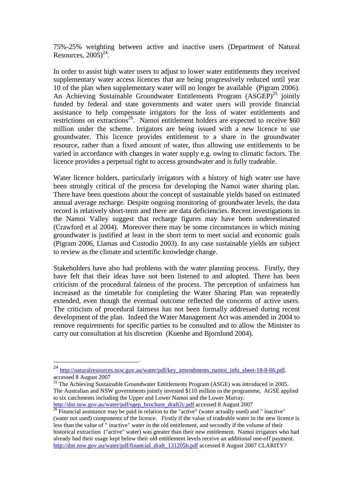75%-25% weighting between active and inactive users (Department of Natural Resources,  $2005$ <sup>24</sup>.

In order to assist high water users to adjust to lower water entitlements they received supplementary water access licences that are being progressively reduced until year 10 of the plan when supplementary water will no longer be available (Pigram 2006). An Achieving Sustainable Groundwater Entitlements Program  $(ASGEP)^{25}$  jointly funded by federal and state governments and water users will provide financial assistance to help compensate irrigators for the loss of water entitlements and restrictions on extractions<sup>26</sup>. Namoi entitlement holders are expected to receive  $$60$ million under the scheme. Irrigators are being issued with a new licence to use groundwater. This licence provides entitlement to a share in the groundwater resource, rather than a fixed amount of water, thus allowing use entitlements to be varied in accordance with changes in water supply e.g. owing to climatic factors. The licence provides a perpetual right to access groundwater and is fully tradeable.

Water licence holders, particularly irrigators with a history of high water use have been strongly critical of the process for developing the Namoi water sharing plan. There have been questions about the concept of sustainable yields based on estimated annual average recharge. Despite ongoing monitoring of groundwater levels, the data record is relatively short-term and there are data deficiencies. Recent investigations in the Namoi Valley suggest that recharge figures may have been underestimated (Crawford et al 2004). Moreover there may be some circumstances in which mining groundwater is justified at least in the short term to meet social and economic goals (Pigram 2006, Llamas and Custodio 2003). In any case sustainable yields are subject to review as the climate and scientific knowledge change.

Stakeholders have also had problems with the water planning process. Firstly, they have felt that their ideas have not been listened to and adopted. There has been criticism of the procedural fairness of the process. The perception of unfairness has increased as the timetable for completing the Water Sharing Plan was repeatedly extended, even though the eventual outcome reflected the concerns of active users. The criticism of procedural fairness has not been formally addressed during recent development of the plan. Indeed the Water Management Act was amended in 2004 to remove requirements for specific parties to be consulted and to allow the Minister to carry out consultation at his discretion (Kuenhe and Bjornlund 2004).

 $^{25}$  The Achieving Sustainable Groundwater Entitlements Program (ASGE) was introduced in 2005. The Australian and NSW governments jointly invested \$110 million in the programme, AGSE applied to six catchments including the Upper and Lower Namoi and the Lower Murray. http://dnr.nsw.gov.au/water/pdf/sgep\_brochure\_draft2c.pdf accessed 8 August 2007

<sup>24</sup> http://naturalresources.nsw.gov.au/water/pdf/key\_amendments\_namoi\_info\_sheet-18-8-06.pdf. accessed 8 August 2007

 $26$  Financial assistance may be paid in relation to the "active" (water actually used) and " inactive" (water not used) components of the licence. Firstly if the value of tradeable water in the new licence is less than the value of " inactive" water in the old entitlement, and secondly if the volume of their historical extraction ("active" water) was greater than their new entitlement. Namoi irrigators who had already had their usage kept below their old entitlement levels receive an additional one-off payment. http://dnr.nsw.gov.au/water/pdf/financial\_draft\_131205b.pdf accessed 8 August 2007 CLARITY?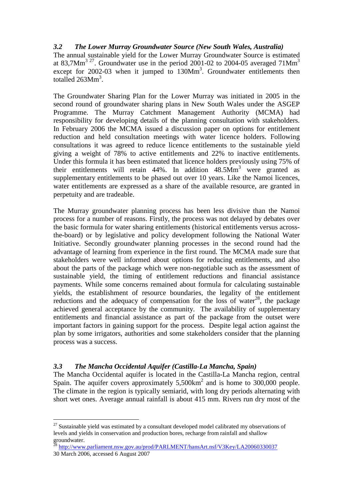## *3.2 The Lower Murray Groundwater Source (New South Wales, Australia)*

The annual sustainable yield for the Lower Murray Groundwater Source is estimated at 83,7Mm<sup>3 27</sup>. Groundwater use in the period 2001-02 to 2004-05 averaged  $71$ Mm<sup>3</sup> except for  $2002-03$  when it jumped to  $130Mm<sup>3</sup>$ . Groundwater entitlements then totalled  $263$ Mm<sup>3</sup>.

The Groundwater Sharing Plan for the Lower Murray was initiated in 2005 in the second round of groundwater sharing plans in New South Wales under the ASGEP Programme. The Murray Catchment Management Authority (MCMA) had responsibility for developing details of the planning consultation with stakeholders. In February 2006 the MCMA issued a discussion paper on options for entitlement reduction and held consultation meetings with water licence holders. Following consultations it was agreed to reduce licence entitlements to the sustainable yield giving a weight of 78% to active entitlements and 22% to inactive entitlements. Under this formula it has been estimated that licence holders previously using 75% of their entitlements will retain  $44\%$ . In addition  $48.5\text{Mm}^3$  were granted as supplementary entitlements to be phased out over 10 years. Like the Namoi licences, water entitlements are expressed as a share of the available resource, are granted in perpetuity and are tradeable.

The Murray groundwater planning process has been less divisive than the Namoi process for a number of reasons. Firstly, the process was not delayed by debates over the basic formula for water sharing entitlements (historical entitlements versus acrossthe-board) or by legislative and policy development following the National Water Initiative. Secondly groundwater planning processes in the second round had the advantage of learning from experience in the first round. The MCMA made sure that stakeholders were well informed about options for reducing entitlements, and also about the parts of the package which were non-negotiable such as the assessment of sustainable yield, the timing of entitlement reductions and financial assistance payments. While some concerns remained about formula for calculating sustainable yields, the establishment of resource boundaries, the legality of the entitlement reductions and the adequacy of compensation for the loss of water<sup>28</sup>, the package achieved general acceptance by the community. The availability of supplementary entitlements and financial assistance as part of the package from the outset were important factors in gaining support for the process. Despite legal action against the plan by some irrigators, authorities and some stakeholders consider that the planning process was a success.

## *3.3 The Mancha Occidental Aquifer (Castilla-La Mancha, Spain)*

 $\overline{a}$ 

The Mancha Occidental aquifer is located in the Castilla-La Mancha region, central Spain. The aquifer covers approximately  $5{,}500 \text{km}^2$  and is home to 300,000 people. The climate in the region is typically semiarid, with long dry periods alternating with short wet ones. Average annual rainfall is about 415 mm. Rivers run dry most of the

 $27$  Sustainable yield was estimated by a consultant developed model calibrated my observations of levels and yields in conservation and production bores, recharge from rainfall and shallow  $\frac{1}{28}$  and yie<br>groundwater.

<sup>28</sup> http://www.parliament.nsw.gov.au/prod/PARLMENT/hansArt.nsf/V3Key/LA20060330037 30 March 2006, accessed 6 August 2007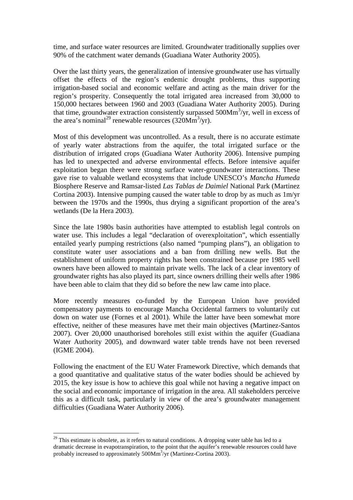time, and surface water resources are limited. Groundwater traditionally supplies over 90% of the catchment water demands (Guadiana Water Authority 2005).

Over the last thirty years, the generalization of intensive groundwater use has virtually offset the effects of the region's endemic drought problems, thus supporting irrigation-based social and economic welfare and acting as the main driver for the region's prosperity. Consequently the total irrigated area increased from 30,000 to 150,000 hectares between 1960 and 2003 (Guadiana Water Authority 2005). During that time, groundwater extraction consistently surpassed 500Mm<sup>3</sup>/yr, well in excess of the area's nominal<sup>29</sup> renewable resources (320Mm<sup>3</sup>/yr).

Most of this development was uncontrolled. As a result, there is no accurate estimate of yearly water abstractions from the aquifer, the total irrigated surface or the distribution of irrigated crops (Guadiana Water Authority 2006). Intensive pumping has led to unexpected and adverse environmental effects. Before intensive aquifer exploitation began there were strong surface water-groundwater interactions. These gave rise to valuable wetland ecosystems that include UNESCO's *Mancha Humeda* Biosphere Reserve and Ramsar-listed *Las Tablas de Daimiel* National Park (Martinez Cortina 2003). Intensive pumping caused the water table to drop by as much as 1m/yr between the 1970s and the 1990s, thus drying a significant proportion of the area's wetlands (De la Hera 2003).

Since the late 1980s basin authorities have attempted to establish legal controls on water use. This includes a legal "declaration of overexploitation", which essentially entailed yearly pumping restrictions (also named "pumping plans"), an obligation to constitute water user associations and a ban from drilling new wells. But the establishment of uniform property rights has been constrained because pre 1985 well owners have been allowed to maintain private wells. The lack of a clear inventory of groundwater rights has also played its part, since owners drilling their wells after 1986 have been able to claim that they did so before the new law came into place.

More recently measures co-funded by the European Union have provided compensatory payments to encourage Mancha Occidental farmers to voluntarily cut down on water use (Fornes et al 2001). While the latter have been somewhat more effective, neither of these measures have met their main objectives (Martinez-Santos 2007). Over 20,000 unauthorised boreholes still exist within the aquifer (Guadiana Water Authority 2005), and downward water table trends have not been reversed (IGME 2004).

Following the enactment of the EU Water Framework Directive, which demands that a good quantitative and qualitative status of the water bodies should be achieved by 2015, the key issue is how to achieve this goal while not having a negative impact on the social and economic importance of irrigation in the area. All stakeholders perceive this as a difficult task, particularly in view of the area's groundwater management difficulties (Guadiana Water Authority 2006).

 $^{29}$  This estimate is obsolete, as it refers to natural conditions. A dropping water table has led to a dramatic decrease in evapotranspiration, to the point that the aquifer's renewable resources could have probably increased to approximately 500Mm<sup>3</sup>/yr (Martinez-Cortina 2003).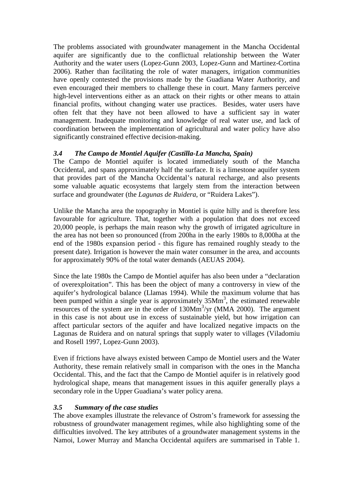The problems associated with groundwater management in the Mancha Occidental aquifer are significantly due to the conflictual relationship between the Water Authority and the water users (Lopez-Gunn 2003, Lopez-Gunn and Martinez-Cortina 2006). Rather than facilitating the role of water managers, irrigation communities have openly contested the provisions made by the Guadiana Water Authority, and even encouraged their members to challenge these in court. Many farmers perceive high-level interventions either as an attack on their rights or other means to attain financial profits, without changing water use practices. Besides, water users have often felt that they have not been allowed to have a sufficient say in water management. Inadequate monitoring and knowledge of real water use, and lack of coordination between the implementation of agricultural and water policy have also significantly constrained effective decision-making.

# *3.4 The Campo de Montiel Aquifer (Castilla-La Mancha, Spain)*

The Campo de Montiel aquifer is located immediately south of the Mancha Occidental, and spans approximately half the surface. It is a limestone aquifer system that provides part of the Mancha Occidental's natural recharge, and also presents some valuable aquatic ecosystems that largely stem from the interaction between surface and groundwater (the *Lagunas de Ruidera*, or "Ruidera Lakes").

Unlike the Mancha area the topography in Montiel is quite hilly and is therefore less favourable for agriculture. That, together with a population that does not exceed 20,000 people, is perhaps the main reason why the growth of irrigated agriculture in the area has not been so pronounced (from 200ha in the early 1980s to 8,000ha at the end of the 1980s expansion period - this figure has remained roughly steady to the present date). Irrigation is however the main water consumer in the area, and accounts for approximately 90% of the total water demands (AEUAS 2004).

Since the late 1980s the Campo de Montiel aquifer has also been under a "declaration of overexploitation". This has been the object of many a controversy in view of the aquifer's hydrological balance (Llamas 1994). While the maximum volume that has been pumped within a single year is approximately  $35Mm<sup>3</sup>$ , the estimated renewable resources of the system are in the order of 130Mm<sup>3</sup>/yr (MMA 2000). The argument in this case is not about use in excess of sustainable yield, but how irrigation can affect particular sectors of the aquifer and have localized negative impacts on the Lagunas de Ruidera and on natural springs that supply water to villages (Viladomiu and Rosell 1997, Lopez-Gunn 2003).

Even if frictions have always existed between Campo de Montiel users and the Water Authority, these remain relatively small in comparison with the ones in the Mancha Occidental. This, and the fact that the Campo de Montiel aquifer is in relatively good hydrological shape, means that management issues in this aquifer generally plays a secondary role in the Upper Guadiana's water policy arena.

# *3.5 Summary of the case studies*

The above examples illustrate the relevance of Ostrom's framework for assessing the robustness of groundwater management regimes, while also highlighting some of the difficulties involved. The key attributes of a groundwater management systems in the Namoi, Lower Murray and Mancha Occidental aquifers are summarised in Table 1.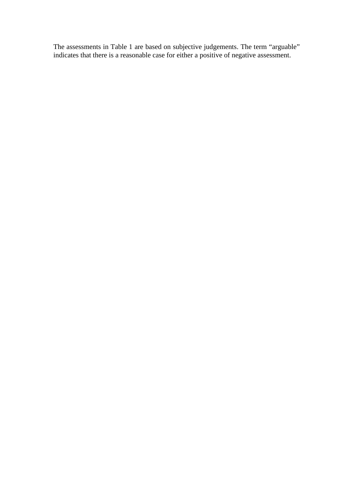The assessments in Table 1 are based on subjective judgements. The term "arguable" indicates that there is a reasonable case for either a positive of negative assessment.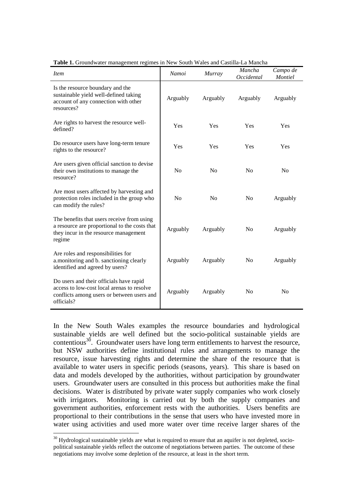| <i>Item</i>                                                                                                                                       | Namoi          | Murray         | Mancha<br>Occidental | Campo de<br>Montiel |
|---------------------------------------------------------------------------------------------------------------------------------------------------|----------------|----------------|----------------------|---------------------|
| Is the resource boundary and the<br>sustainable yield well-defined taking<br>account of any connection with other<br>resources?                   | Arguably       | Arguably       | Arguably             | Arguably            |
| Are rights to harvest the resource well-<br>defined?                                                                                              | Yes            | Yes            | Yes                  | Yes                 |
| Do resource users have long-term tenure<br>rights to the resource?                                                                                | Yes            | Yes            | Yes                  | Yes                 |
| Are users given official sanction to devise<br>their own institutions to manage the<br>resource?                                                  | N <sub>o</sub> | N <sub>o</sub> | N <sub>0</sub>       | N <sub>0</sub>      |
| Are most users affected by harvesting and<br>protection roles included in the group who<br>can modify the rules?                                  | No             | No             | No                   | Arguably            |
| The benefits that users receive from using<br>a resource are proportional to the costs that<br>they incur in the resource management<br>regime    | Arguably       | Arguably       | N <sub>0</sub>       | Arguably            |
| Are roles and responsibilities for<br>a.monitoring and b. sanctioning clearly<br>identified and agreed by users?                                  | Arguably       | Arguably       | No                   | Arguably            |
| Do users and their officials have rapid<br>access to low-cost local arenas to resolve<br>conflicts among users or between users and<br>officials? | Arguably       | Arguably       | N <sub>0</sub>       | N <sub>0</sub>      |

**Table 1.** Groundwater management regimes in New South Wales and Castilla-La Mancha

In the New South Wales examples the resource boundaries and hydrological sustainable yields are well defined but the socio-political sustainable yields are contentious<sup>30</sup>. Groundwater users have long term entitlements to harvest the resource, but NSW authorities define institutional rules and arrangements to manage the resource, issue harvesting rights and determine the share of the resource that is available to water users in specific periods (seasons, years). This share is based on data and models developed by the authorities, without participation by groundwater users. Groundwater users are consulted in this process but authorities make the final decisions. Water is distributed by private water supply companies who work closely with irrigators. Monitoring is carried out by both the supply companies and government authorities, enforcement rests with the authorities. Users benefits are proportional to their contributions in the sense that users who have invested more in water using activities and used more water over time receive larger shares of the

 $30$  Hydrological sustainable yields are what is required to ensure that an aquifer is not depleted, sociopolitical sustainable yields reflect the outcome of negotiations between parties. The outcome of these negotiations may involve some depletion of the resource, at least in the short term.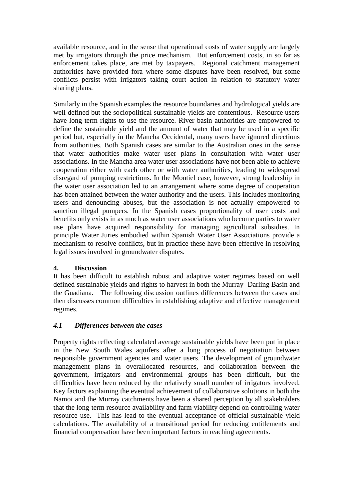available resource, and in the sense that operational costs of water supply are largely met by irrigators through the price mechanism. But enforcement costs, in so far as enforcement takes place, are met by taxpayers. Regional catchment management authorities have provided fora where some disputes have been resolved, but some conflicts persist with irrigators taking court action in relation to statutory water sharing plans.

Similarly in the Spanish examples the resource boundaries and hydrological yields are well defined but the sociopolitical sustainable yields are contentious. Resource users have long term rights to use the resource. River basin authorities are empowered to define the sustainable yield and the amount of water that may be used in a specific period but, especially in the Mancha Occidental, many users have ignored directions from authorities. Both Spanish cases are similar to the Australian ones in the sense that water authorities make water user plans in consultation with water user associations. In the Mancha area water user associations have not been able to achieve cooperation either with each other or with water authorities, leading to widespread disregard of pumping restrictions. In the Montiel case, however, strong leadership in the water user association led to an arrangement where some degree of cooperation has been attained between the water authority and the users. This includes monitoring users and denouncing abuses, but the association is not actually empowered to sanction illegal pumpers. In the Spanish cases proportionality of user costs and benefits only exists in as much as water user associations who become parties to water use plans have acquired responsibility for managing agricultural subsidies. In principle Water Juries embodied within Spanish Water User Associations provide a mechanism to resolve conflicts, but in practice these have been effective in resolving legal issues involved in groundwater disputes.

## **4. Discussion**

It has been difficult to establish robust and adaptive water regimes based on well defined sustainable yields and rights to harvest in both the Murray- Darling Basin and the Guadiana. The following discussion outlines differences between the cases and then discusses common difficulties in establishing adaptive and effective management regimes.

# *4.1 Differences between the cases*

Property rights reflecting calculated average sustainable yields have been put in place in the New South Wales aquifers after a long process of negotiation between responsible government agencies and water users. The development of groundwater management plans in overallocated resources, and collaboration between the government, irrigators and environmental groups has been difficult, but the difficulties have been reduced by the relatively small number of irrigators involved. Key factors explaining the eventual achievement of collaborative solutions in both the Namoi and the Murray catchments have been a shared perception by all stakeholders that the long-term resource availability and farm viability depend on controlling water resource use. This has lead to the eventual acceptance of official sustainable yield calculations. The availability of a transitional period for reducing entitlements and financial compensation have been important factors in reaching agreements.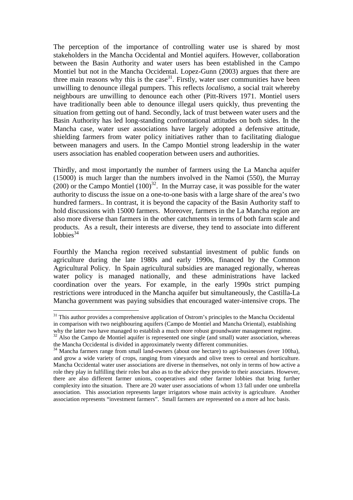The perception of the importance of controlling water use is shared by most stakeholders in the Mancha Occidental and Montiel aquifers. However, collaboration between the Basin Authority and water users has been established in the Campo Montiel but not in the Mancha Occidental. Lopez-Gunn (2003) argues that there are three main reasons why this is the case<sup>31</sup>. Firstly, water user communities have been unwilling to denounce illegal pumpers. This reflects *localismo*, a social trait whereby neighbours are unwilling to denounce each other (Pitt-Rivers 1971. Montiel users have traditionally been able to denounce illegal users quickly, thus preventing the situation from getting out of hand. Secondly, lack of trust between water users and the Basin Authority has led long-standing confrontational attitudes on both sides. In the Mancha case, water user associations have largely adopted a defensive attitude, shielding farmers from water policy initiatives rather than to facilitating dialogue between managers and users. In the Campo Montiel strong leadership in the water users association has enabled cooperation between users and authorities.

Thirdly, and most importantly the number of farmers using the La Mancha aquifer (15000) is much larger than the numbers involved in the Namoi (550), the Murray  $(200)$  or the Campo Montiel  $(100)^{32}$ . In the Murray case, it was possible for the water authority to discuss the issue on a one-to-one basis with a large share of the area's two hundred farmers.. In contrast, it is beyond the capacity of the Basin Authority staff to hold discussions with 15000 farmers. Moreover, farmers in the La Mancha region are also more diverse than farmers in the other catchments in terms of both farm scale and products. As a result, their interests are diverse, they tend to associate into different  $\overline{1}$ obbies<sup>34</sup>

Fourthly the Mancha region received substantial investment of public funds on agriculture during the late 1980s and early 1990s, financed by the Common Agricultural Policy. In Spain agricultural subsidies are managed regionally, whereas water policy is managed nationally, and these administrations have lacked coordination over the years. For example, in the early 1990s strict pumping restrictions were introduced in the Mancha aquifer but simultaneously, the Castilla-La Mancha government was paying subsidies that encouraged water-intensive crops. The

<sup>&</sup>lt;sup>31</sup> This author provides a comprehensive application of Ostrom's principles to the Mancha Occidental in comparison with two neighbouring aquifers (Campo de Montiel and Mancha Oriental), establishing why the latter two have managed to establish a much more robust groundwater management regime.

 $32$  Also the Campo de Montiel aquifer is represented one single (and small) water association, whereas the Mancha Occidental is divided in approximately twenty different communities.

<sup>&</sup>lt;sup>34</sup> Mancha farmers range from small land-owners (about one hectare) to agri-businesses (over 100ha), and grow a wide variety of crops, ranging from vineyards and olive trees to cereal and horticulture. Mancha Occidental water user associations are diverse in themselves, not only in terms of how active a role they play in fulfilling their roles but also as to the advice they provide to their associates. However, there are also different farmer unions, cooperatives and other farmer lobbies that bring further complexity into the situation. There are 20 water user associations of whom 13 fall under one umbrella association. This association represents larger irrigators whose main activity is agriculture. Another association represents "investment farmers". Small farmers are represented on a more ad hoc basis.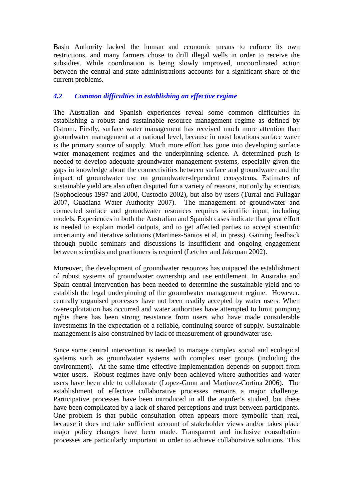Basin Authority lacked the human and economic means to enforce its own restrictions, and many farmers chose to drill illegal wells in order to receive the subsidies. While coordination is being slowly improved, uncoordinated action between the central and state administrations accounts for a significant share of the current problems.

# *4.2 Common difficulties in establishing an effective regime*

The Australian and Spanish experiences reveal some common difficulties in establishing a robust and sustainable resource management regime as defined by Ostrom. Firstly, surface water management has received much more attention than groundwater management at a national level, because in most locations surface water is the primary source of supply. Much more effort has gone into developing surface water management regimes and the underpinning science. A determined push is needed to develop adequate groundwater management systems, especially given the gaps in knowledge about the connectivities between surface and groundwater and the impact of groundwater use on groundwater-dependent ecosystems. Estimates of sustainable yield are also often disputed for a variety of reasons, not only by scientists (Sophocleous 1997 and 2000, Custodio 2002), but also by users (Turral and Fullagar 2007, Guadiana Water Authority 2007). The management of groundwater and connected surface and groundwater resources requires scientific input, including models. Experiences in both the Australian and Spanish cases indicate that great effort is needed to explain model outputs, and to get affected parties to accept scientific uncertainty and iterative solutions (Martinez-Santos et al, in press). Gaining feedback through public seminars and discussions is insufficient and ongoing engagement between scientists and practioners is required (Letcher and Jakeman 2002).

Moreover, the development of groundwater resources has outpaced the establishment of robust systems of groundwater ownership and use entitlement. In Australia and Spain central intervention has been needed to determine the sustainable yield and to establish the legal underpinning of the groundwater management regime. However, centrally organised processes have not been readily accepted by water users. When overexploitation has occurred and water authorities have attempted to limit pumping rights there has been strong resistance from users who have made considerable investments in the expectation of a reliable, continuing source of supply. Sustainable management is also constrained by lack of measurement of groundwater use.

Since some central intervention is needed to manage complex social and ecological systems such as groundwater systems with complex user groups (including the environment). At the same time effective implementation depends on support from water users. Robust regimes have only been achieved where authorities and water users have been able to collaborate (Lopez-Gunn and Martinez-Cortina 2006). The establishment of effective collaborative processes remains a major challenge. Participative processes have been introduced in all the aquifer's studied, but these have been complicated by a lack of shared perceptions and trust between participants. One problem is that public consultation often appears more symbolic than real, because it does not take sufficient account of stakeholder views and/or takes place major policy changes have been made. Transparent and inclusive consultation processes are particularly important in order to achieve collaborative solutions. This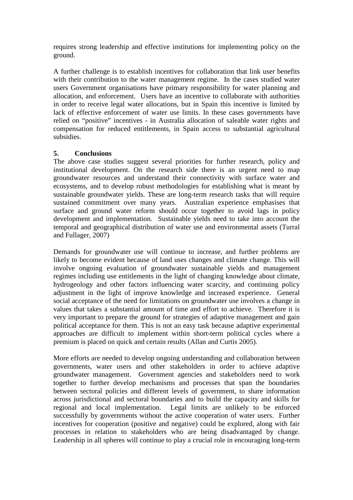requires strong leadership and effective institutions for implementing policy on the ground.

A further challenge is to establish incentives for collaboration that link user benefits with their contribution to the water management regime. In the cases studied water users Government organisations have primary responsibility for water planning and allocation, and enforcement. Users have an incentive to collaborate with authorities in order to receive legal water allocations, but in Spain this incentive is limited by lack of effective enforcement of water use limits. In these cases governments have relied on "positive" incentives - in Australia allocation of saleable water rights and compensation for reduced entitlements, in Spain access to substantial agricultural subsidies.

#### **5. Conclusions**

The above case studies suggest several priorities for further research, policy and institutional development. On the research side there is an urgent need to map groundwater resources and understand their connectivity with surface water and ecosystems, and to develop robust methodologies for establishing what is meant by sustainable groundwater yields. These are long-term research tasks that will require sustained commitment over many years. Australian experience emphasises that surface and ground water reform should occur together to avoid lags in policy development and implementation. Sustainable yields need to take into account the temporal and geographical distribution of water use and environmental assets (Turral and Fullager, 2007)

Demands for groundwater use will continue to increase, and further problems are likely to become evident because of land uses changes and climate change. This will involve ongoing evaluation of groundwater sustainable yields and management regimes including use entitlements in the light of changing knowledge about climate, hydrogeology and other factors influencing water scarcity, and continuing policy adjustment in the light of improve knowledge and increased experience. General social acceptance of the need for limitations on groundwater use involves a change in values that takes a substantial amount of time and effort to achieve. Therefore it is very important to prepare the ground for strategies of adaptive management and gain political acceptance for them. This is not an easy task because adaptive experimental approaches are difficult to implement within short-term political cycles where a premium is placed on quick and certain results (Allan and Curtis 2005).

More efforts are needed to develop ongoing understanding and collaboration between governments, water users and other stakeholders in order to achieve adaptive groundwater management. Government agencies and stakeholders need to work together to further develop mechanisms and processes that span the boundaries between sectoral policies and different levels of government, to share information across jurisdictional and sectoral boundaries and to build the capacity and skills for regional and local implementation. Legal limits are unlikely to be enforced successfully by governments without the active cooperation of water users. Further incentives for cooperation (positive and negative) could be explored, along with fair processes in relation to stakeholders who are being disadvantaged by change. Leadership in all spheres will continue to play a crucial role in encouraging long-term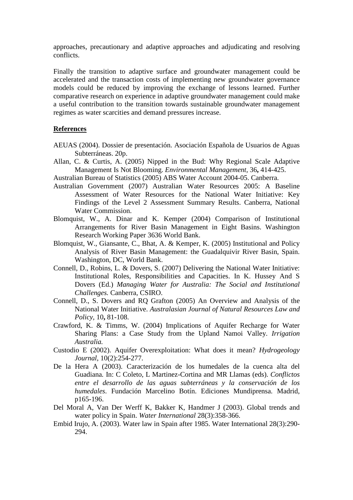approaches, precautionary and adaptive approaches and adjudicating and resolving conflicts.

Finally the transition to adaptive surface and groundwater management could be accelerated and the transaction costs of implementing new groundwater governance models could be reduced by improving the exchange of lessons learned. Further comparative research on experience in adaptive groundwater management could make a useful contribution to the transition towards sustainable groundwater management regimes as water scarcities and demand pressures increase.

#### **References**

- AEUAS (2004). Dossier de presentación. Asociación Española de Usuarios de Aguas Subterráneas. 20p.
- Allan, C. & Curtis, A. (2005) Nipped in the Bud: Why Regional Scale Adaptive Management Is Not Blooming. *Environmental Management,* 36**,** 414-425.
- Australian Bureau of Statistics (2005) ABS Water Account 2004-05. Canberra.
- Australian Government (2007) Australian Water Resources 2005: A Baseline Assessment of Water Resources for the National Water Initiative: Key Findings of the Level 2 Assessment Summary Results. Canberra, National Water Commission.
- Blomquist, W., A. Dinar and K. Kemper (2004) Comparison of Institutional Arrangements for River Basin Management in Eight Basins. Washington Research Working Paper 3636 World Bank.
- Blomquist, W., Giansante, C., Bhat, A. & Kemper, K. (2005) Institutional and Policy Analysis of River Basin Management: the Guadalquivir River Basin, Spain. Washington, DC, World Bank.
- Connell, D., Robins, L. & Dovers, S. (2007) Delivering the National Water Initiative: Institutional Roles, Responsibilities and Capacities. In K. Hussey And S Dovers (Ed.) *Managing Water for Australia: The Social and Institutional Challenges.* Canberra, CSIRO.
- Connell, D., S. Dovers and RQ Grafton (2005) An Overview and Analysis of the National Water Initiative. *Australasian Journal of Natural Resources Law and Policy,* 10**,** 81-108.
- Crawford, K. & Timms, W. (2004) Implications of Aquifer Recharge for Water Sharing Plans: a Case Study from the Upland Namoi Valley. *Irrigation Australia.*
- Custodio E (2002). Aquifer Overexploitation: What does it mean? *Hydrogeology Journal*, 10(2):254-277.
- De la Hera A (2003). Caracterización de los humedales de la cuenca alta del Guadiana*.* In: C Coleto, L Martinez-Cortina and MR Llamas (eds). *Conflictos entre el desarrollo de las aguas subterráneas y la conservación de los humedales*. Fundación Marcelino Botín. Ediciones Mundiprensa. Madrid, p165-196.
- Del Moral A, Van Der Werff K, Bakker K, Handmer J (2003). Global trends and water policy in Spain. *Water International* 28(3):358-366.
- Embid Irujo, A. (2003). Water law in Spain after 1985. Water International 28(3):290- 294.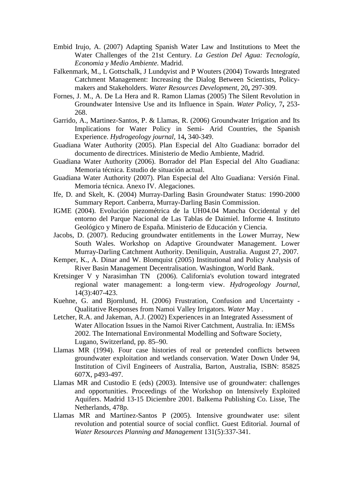- Embid Irujo, A. (2007) Adapting Spanish Water Law and Institutions to Meet the Water Challenges of the 21st Century. *La Gestion Del Agua: Tecnología, Economia y Medio Ambiente.* Madrid.
- Falkenmark, M., L Gottschalk, J Lundqvist and P Wouters (2004) Towards Integrated Catchment Management: Increasing the Dialog Between Scientists, Policymakers and Stakeholders. *Water Resources Development,* 20**,** 297-309.
- Fornes, J. M., A. De La Hera and R. Ramon Llamas (2005) The Silent Revolution in Groundwater Intensive Use and its Influence in Spain. *Water Policy,* 7**,** 253- 268.
- Garrido, A., Martinez-Santos, P. & Llamas, R. (2006) Groundwater Irrigation and Its Implications for Water Policy in Semi- Arid Countries, the Spanish Experience. *Hydrogeology journal,* 14**,** 340-349.
- Guadiana Water Authority (2005). Plan Especial del Alto Guadiana: borrador del documento de directrices. Ministerio de Medio Ambiente, Madrid.
- Guadiana Water Authority (2006). Borrador del Plan Especial del Alto Guadiana: Memoria técnica. Estudio de situación actual.
- Guadiana Water Authority (2007). Plan Especial del Alto Guadiana: Versión Final. Memoria técnica. Anexo IV. Alegaciones*.*
- Ife, D. and Skelt, K. (2004) Murray-Darling Basin Groundwater Status: 1990-2000 Summary Report. Canberra, Murray-Darling Basin Commission.
- IGME (2004). Evolución piezométrica de la UH04.04 Mancha Occidental y del entorno del Parque Nacional de Las Tablas de Daimiel. Informe 4. Instituto Geológico y Minero de España. Ministerio de Educación y Ciencia.
- Jacobs, D. (2007). Reducing groundwater entitlements in the Lower Murray, New South Wales. Workshop on Adaptive Groundwater Management. Lower Murray-Darling Catchment Authority. Deniliquin, Australia. August 27, 2007.
- Kemper, K., A. Dinar and W. Blomquist (2005) Institutional and Policy Analysis of River Basin Management Decentralisation. Washington, World Bank.
- Kretsinger V y Narasimhan TN (2006). California's evolution toward integrated regional water management: a long-term view. *Hydrogeology Journal,* 14(3):407-423.
- Kuehne, G. and Bjornlund, H. (2006) Frustration, Confusion and Uncertainty Qualitative Responses from Namoi Valley Irrigators. *Water* May .
- Letcher, R.A. and Jakeman, A.J. (2002) Experiences in an Integrated Assessment of Water Allocation Issues in the Namoi River Catchment, Australia. In: iEMSs 2002. The International Environmental Modelling and Software Society, Lugano, Switzerland, pp. 85–90.
- Llamas MR (1994). Four case histories of real or pretended conflicts between groundwater exploitation and wetlands conservation. Water Down Under 94, Institution of Civil Engineers of Australia, Barton, Australia, ISBN: 85825 607X, p493-497.
- Llamas MR and Custodio E (eds) (2003). Intensive use of groundwater: challenges and opportunities. Proceedings of the Workshop on Intensively Exploited Aquifers. Madrid 13-15 Diciembre 2001. Balkema Publishing Co. Lisse, The Netherlands, 478p.
- Llamas MR and Martínez-Santos P (2005). Intensive groundwater use: silent revolution and potential source of social conflict. Guest Editorial. Journal of *Water Resources Planning and Management* 131(5):337-341.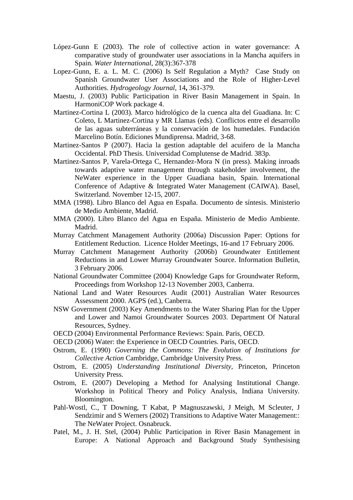- López-Gunn E (2003). The role of collective action in water governance: A comparative study of groundwater user associations in la Mancha aquifers in Spain. *Water International*, 28(3):367-378
- Lopez-Gunn, E. a. L. M. C. (2006) Is Self Regulation a Myth? Case Study on Spanish Groundwater User Associations and the Role of Higher-Level Authorities. *Hydrogeology Journal,* 14**,** 361-379.
- Maestu, J. (2003) Public Participation in River Basin Management in Spain. In HarmoniCOP Work package 4.
- Martinez-Cortina L (2003). Marco hidrológico de la cuenca alta del Guadiana. In: C Coleto, L Martinez-Cortina y MR Llamas (eds). Conflictos entre el desarrollo de las aguas subterráneas y la conservación de los humedales. Fundación Marcelino Botín. Ediciones Mundiprensa. Madrid, 3-68.
- Martinez-Santos P (2007). Hacia la gestion adaptable del acuifero de la Mancha Occidental. PhD Thesis. Universidad Complutense de Madrid. 383p.
- Martinez-Santos P, Varela-Ortega C, Hernandez-Mora N (in press). Making inroads towards adaptive water management through stakeholder involvement, the NeWater experience in the Upper Guadiana basin, Spain. International Conference of Adaptive & Integrated Water Management (CAIWA). Basel, Switzerland. November 12-15, 2007.
- MMA (1998). Libro Blanco del Agua en España. Documento de síntesis. Ministerio de Medio Ambiente, Madrid.
- MMA (2000). Libro Blanco del Agua en España. Ministerio de Medio Ambiente. Madrid.
- Murray Catchment Management Authority (2006a) Discussion Paper: Options for Entitlement Reduction. Licence Holder Meetings, 16-and 17 February 2006.
- Murray Catchment Management Authority (2006b) Groundwater Entitlement Reductions in and Lower Murray Groundwater Source. Information Bulletin, 3 February 2006.
- National Groundwater Committee (2004) Knowledge Gaps for Groundwater Reform, Proceedings from Workshop 12-13 November 2003, Canberra.
- National Land and Water Resources Audit (2001) Australian Water Resources Assessment 2000. AGPS (ed.), Canberra.
- NSW Government (2003) Key Amendments to the Water Sharing Plan for the Upper and Lower and Namoi Groundwater Sources 2003. Department Of Natural Resources, Sydney.
- OECD (2004) Environmental Performance Reviews: Spain. Paris, OECD.
- OECD (2006) Water: the Experience in OECD Countries. Paris, OECD.
- Ostrom, E. (1990) *Governing the Commons: The Evolution of Institutions for Collective Action* Cambridge, Cambridge University Press.
- Ostrom, E. (2005) *Understanding Institutional Diversity,* Princeton, Princeton University Press.
- Ostrom, E. (2007) Developing a Method for Analysing Institutional Change. Workshop in Political Theory and Policy Analysis, Indiana University*.*  Bloomington.
- Pahl-Wostl, C., T Downing, T Kabat, P Magnuszawski, J Meigh, M Scleuter, J Sendzimir and S Werners (2002) Transitions to Adaptive Water Management:: The NeWater Project. Osnabruck.
- Patel, M., J. H. Stel, (2004) Public Participation in River Basin Management in Europe: A National Approach and Background Study Synthesising